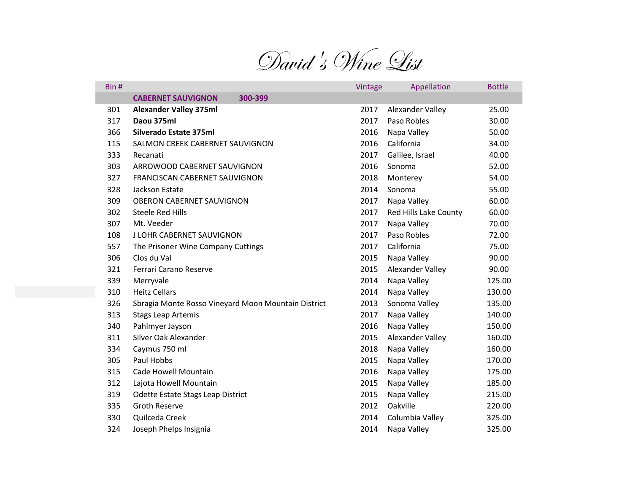

| Bin # |                                                     | Vintage | Appellation           | <b>Bottle</b> |
|-------|-----------------------------------------------------|---------|-----------------------|---------------|
|       | <b>CABERNET SAUVIGNON</b><br>300-399                |         |                       |               |
| 301   | <b>Alexander Valley 375ml</b>                       | 2017    | Alexander Valley      | 25.00         |
| 317   | Daou 375ml                                          | 2017    | Paso Robles           | 30.00         |
| 366   | Silverado Estate 375ml                              | 2016    | Napa Valley           | 50.00         |
| 115   | SALMON CREEK CABERNET SAUVIGNON                     | 2016    | California            | 34.00         |
| 333   | Recanati                                            | 2017    | Galilee, Israel       | 40.00         |
| 303   | ARROWOOD CABERNET SAUVIGNON                         | 2016    | Sonoma                | 52.00         |
| 327   | FRANCISCAN CABERNET SAUVIGNON                       | 2018    | Monterey              | 54.00         |
| 328   | Jackson Estate                                      | 2014    | Sonoma                | 55.00         |
| 309   | OBERON CABERNET SAUVIGNON                           | 2017    | Napa Valley           | 60.00         |
| 302   | Steele Red Hills                                    | 2017    | Red Hills Lake County | 60.00         |
| 307   | Mt. Veeder                                          | 2017    | Napa Valley           | 70.00         |
| 108   | J LOHR CABERNET SAUVIGNON                           | 2017    | Paso Robles           | 72.00         |
| 557   | The Prisoner Wine Company Cuttings                  | 2017    | California            | 75.00         |
| 306   | Clos du Val                                         | 2015    | Napa Valley           | 90.00         |
| 321   | Ferrari Carano Reserve                              | 2015    | Alexander Valley      | 90.00         |
| 339   | Merryvale                                           | 2014    | Napa Valley           | 125.00        |
| 310   | <b>Heitz Cellars</b>                                | 2014    | Napa Valley           | 130.00        |
| 326   | Sbragia Monte Rosso Vineyard Moon Mountain District | 2013    | Sonoma Valley         | 135.00        |
| 313   | <b>Stags Leap Artemis</b>                           | 2017    | Napa Valley           | 140.00        |
| 340   | Pahlmyer Jayson                                     | 2016    | Napa Valley           | 150.00        |
| 311   | Silver Oak Alexander                                | 2015    | Alexander Valley      | 160.00        |
| 334   | Caymus 750 ml                                       | 2018    | Napa Valley           | 160.00        |
| 305   | Paul Hobbs                                          | 2015    | Napa Valley           | 170.00        |
| 315   | Cade Howell Mountain                                | 2016    | Napa Valley           | 175.00        |
| 312   | Lajota Howell Mountain                              | 2015    | Napa Valley           | 185.00        |
| 319   | Odette Estate Stags Leap District                   | 2015    | Napa Valley           | 215.00        |
| 335   | <b>Groth Reserve</b>                                | 2012    | Oakville              | 220.00        |
| 330   | Quilceda Creek                                      | 2014    | Columbia Valley       | 325.00        |
| 324   | Joseph Phelps Insignia                              | 2014    | Napa Valley           | 325.00        |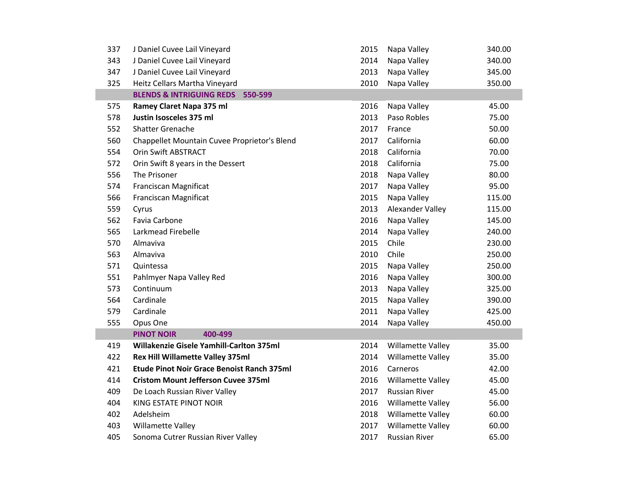| 337 | J Daniel Cuvee Lail Vineyard                      | 2015 | Napa Valley          | 340.00 |
|-----|---------------------------------------------------|------|----------------------|--------|
| 343 | J Daniel Cuvee Lail Vineyard                      | 2014 | Napa Valley          | 340.00 |
| 347 | J Daniel Cuvee Lail Vineyard                      | 2013 | Napa Valley          | 345.00 |
| 325 | Heitz Cellars Martha Vineyard                     | 2010 | Napa Valley          | 350.00 |
|     | BLENDS & INTRIGUING REDS 550-599                  |      |                      |        |
| 575 | Ramey Claret Napa 375 ml                          | 2016 | Napa Valley          | 45.00  |
| 578 | Justin Isosceles 375 ml                           | 2013 | Paso Robles          | 75.00  |
| 552 | Shatter Grenache                                  | 2017 | France               | 50.00  |
| 560 | Chappellet Mountain Cuvee Proprietor's Blend      | 2017 | California           | 60.00  |
| 554 | Orin Swift ABSTRACT                               | 2018 | California           | 70.00  |
| 572 | Orin Swift 8 years in the Dessert                 | 2018 | California           | 75.00  |
| 556 | The Prisoner                                      | 2018 | Napa Valley          | 80.00  |
| 574 | Franciscan Magnificat                             | 2017 | Napa Valley          | 95.00  |
| 566 | Franciscan Magnificat                             | 2015 | Napa Valley          | 115.00 |
| 559 | Cyrus                                             | 2013 | Alexander Valley     | 115.00 |
| 562 | Favia Carbone                                     | 2016 | Napa Valley          | 145.00 |
| 565 | Larkmead Firebelle                                | 2014 | Napa Valley          | 240.00 |
| 570 | Almaviva                                          | 2015 | Chile                | 230.00 |
| 563 | Almaviva                                          | 2010 | Chile                | 250.00 |
| 571 | Quintessa                                         | 2015 | Napa Valley          | 250.00 |
| 551 | Pahlmyer Napa Valley Red                          | 2016 | Napa Valley          | 300.00 |
| 573 | Continuum                                         | 2013 | Napa Valley          | 325.00 |
| 564 | Cardinale                                         | 2015 | Napa Valley          | 390.00 |
| 579 | Cardinale                                         | 2011 | Napa Valley          | 425.00 |
| 555 | Opus One                                          | 2014 | Napa Valley          | 450.00 |
|     | <b>PINOT NOIR</b><br>400-499                      |      |                      |        |
| 419 | Willakenzie Gisele Yamhill-Carlton 375ml          | 2014 | Willamette Valley    | 35.00  |
| 422 | Rex Hill Willamette Valley 375ml                  | 2014 | Willamette Valley    | 35.00  |
| 421 | <b>Etude Pinot Noir Grace Benoist Ranch 375ml</b> | 2016 | Carneros             | 42.00  |
| 414 | <b>Cristom Mount Jefferson Cuvee 375ml</b>        | 2016 | Willamette Valley    | 45.00  |
| 409 | De Loach Russian River Valley                     | 2017 | <b>Russian River</b> | 45.00  |
| 404 | KING ESTATE PINOT NOIR                            | 2016 | Willamette Valley    | 56.00  |
| 402 | Adelsheim                                         | 2018 | Willamette Valley    | 60.00  |
| 403 | Willamette Valley                                 | 2017 | Willamette Valley    | 60.00  |
| 405 | Sonoma Cutrer Russian River Valley                | 2017 | <b>Russian River</b> | 65.00  |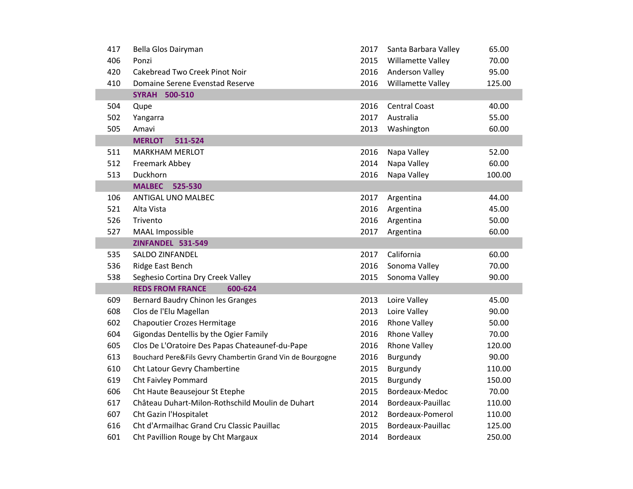| 417 | Bella Glos Dairyman                                        | 2017 | Santa Barbara Valley | 65.00  |
|-----|------------------------------------------------------------|------|----------------------|--------|
| 406 | Ponzi                                                      | 2015 | Willamette Valley    | 70.00  |
| 420 | Cakebread Two Creek Pinot Noir                             | 2016 | Anderson Valley      | 95.00  |
| 410 | Domaine Serene Evenstad Reserve                            | 2016 | Willamette Valley    | 125.00 |
|     | <b>SYRAH 500-510</b>                                       |      |                      |        |
| 504 | Qupe                                                       | 2016 | <b>Central Coast</b> | 40.00  |
| 502 | Yangarra                                                   | 2017 | Australia            | 55.00  |
| 505 | Amavi                                                      | 2013 | Washington           | 60.00  |
|     | <b>MERLOT</b><br>511-524                                   |      |                      |        |
| 511 | <b>MARKHAM MERLOT</b>                                      | 2016 | Napa Valley          | 52.00  |
| 512 | Freemark Abbey                                             | 2014 | Napa Valley          | 60.00  |
| 513 | Duckhorn                                                   | 2016 | Napa Valley          | 100.00 |
|     | <b>MALBEC</b><br>525-530                                   |      |                      |        |
| 106 | ANTIGAL UNO MALBEC                                         | 2017 | Argentina            | 44.00  |
| 521 | Alta Vista                                                 | 2016 | Argentina            | 45.00  |
| 526 | Trivento                                                   | 2016 | Argentina            | 50.00  |
| 527 | MAAL Impossible                                            | 2017 | Argentina            | 60.00  |
|     | <b>ZINFANDEL 531-549</b>                                   |      |                      |        |
| 535 | <b>SALDO ZINFANDEL</b>                                     | 2017 | California           | 60.00  |
| 536 | Ridge East Bench                                           | 2016 | Sonoma Valley        | 70.00  |
| 538 | Seghesio Cortina Dry Creek Valley                          | 2015 | Sonoma Valley        | 90.00  |
|     | <b>REDS FROM FRANCE</b><br>600-624                         |      |                      |        |
| 609 | Bernard Baudry Chinon les Granges                          | 2013 | Loire Valley         | 45.00  |
| 608 | Clos de l'Elu Magellan                                     | 2013 | Loire Valley         | 90.00  |
| 602 | <b>Chapoutier Crozes Hermitage</b>                         | 2016 | <b>Rhone Valley</b>  | 50.00  |
| 604 | Gigondas Dentellis by the Ogier Family                     | 2016 | <b>Rhone Valley</b>  | 70.00  |
| 605 | Clos De L'Oratoire Des Papas Chateaunef-du-Pape            | 2016 | <b>Rhone Valley</b>  | 120.00 |
| 613 | Bouchard Pere&Fils Gevry Chambertin Grand Vin de Bourgogne | 2016 | Burgundy             | 90.00  |
| 610 | Cht Latour Gevry Chambertine                               | 2015 | Burgundy             | 110.00 |
| 619 | Cht Faivley Pommard                                        | 2015 | Burgundy             | 150.00 |
| 606 | Cht Haute Beausejour St Etephe                             | 2015 | Bordeaux-Medoc       | 70.00  |
| 617 | Château Duhart-Milon-Rothschild Moulin de Duhart           | 2014 | Bordeaux-Pauillac    | 110.00 |
| 607 | Cht Gazin l'Hospitalet                                     | 2012 | Bordeaux-Pomerol     | 110.00 |
| 616 | Cht d'Armailhac Grand Cru Classic Pauillac                 | 2015 | Bordeaux-Pauillac    | 125.00 |
| 601 | Cht Pavillion Rouge by Cht Margaux                         | 2014 | <b>Bordeaux</b>      | 250.00 |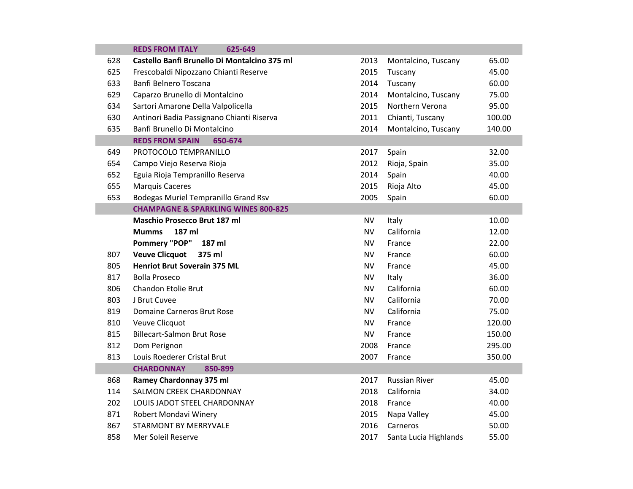|     | <b>REDS FROM ITALY</b><br>625-649              |           |                       |        |
|-----|------------------------------------------------|-----------|-----------------------|--------|
| 628 | Castello Banfi Brunello Di Montalcino 375 ml   | 2013      | Montalcino, Tuscany   | 65.00  |
| 625 | Frescobaldi Nipozzano Chianti Reserve          | 2015      | Tuscany               | 45.00  |
| 633 | Banfi Belnero Toscana                          | 2014      | Tuscany               | 60.00  |
| 629 | Caparzo Brunello di Montalcino                 | 2014      | Montalcino, Tuscany   | 75.00  |
| 634 | Sartori Amarone Della Valpolicella             | 2015      | Northern Verona       | 95.00  |
| 630 | Antinori Badia Passignano Chianti Riserva      | 2011      | Chianti, Tuscany      | 100.00 |
| 635 | Banfi Brunello Di Montalcino                   | 2014      | Montalcino, Tuscany   | 140.00 |
|     | <b>REDS FROM SPAIN</b><br>650-674              |           |                       |        |
| 649 | PROTOCOLO TEMPRANILLO                          | 2017      | Spain                 | 32.00  |
| 654 | Campo Viejo Reserva Rioja                      | 2012      | Rioja, Spain          | 35.00  |
| 652 | Eguia Rioja Tempranillo Reserva                | 2014      | Spain                 | 40.00  |
| 655 | <b>Marquis Caceres</b>                         | 2015      | Rioja Alto            | 45.00  |
| 653 | Bodegas Muriel Tempranillo Grand Rsv           | 2005      | Spain                 | 60.00  |
|     | <b>CHAMPAGNE &amp; SPARKLING WINES 800-825</b> |           |                       |        |
|     | <b>Maschio Prosecco Brut 187 ml</b>            | <b>NV</b> | Italy                 | 10.00  |
|     | 187 ml<br><b>Mumms</b>                         | <b>NV</b> | California            | 12.00  |
|     | <b>Pommery "POP"</b><br>187 ml                 | <b>NV</b> | France                | 22.00  |
| 807 | <b>Veuve Clicquot</b><br>375 ml                | <b>NV</b> | France                | 60.00  |
| 805 | <b>Henriot Brut Soverain 375 ML</b>            | <b>NV</b> | France                | 45.00  |
| 817 | <b>Bolla Proseco</b>                           | <b>NV</b> | Italy                 | 36.00  |
| 806 | Chandon Etolie Brut                            | <b>NV</b> | California            | 60.00  |
| 803 | J Brut Cuvee                                   | <b>NV</b> | California            | 70.00  |
| 819 | Domaine Carneros Brut Rose                     | <b>NV</b> | California            | 75.00  |
| 810 | Veuve Clicquot                                 | <b>NV</b> | France                | 120.00 |
| 815 | <b>Billecart-Salmon Brut Rose</b>              | <b>NV</b> | France                | 150.00 |
| 812 | Dom Perignon                                   | 2008      | France                | 295.00 |
| 813 | Louis Roederer Cristal Brut                    | 2007      | France                | 350.00 |
|     | <b>CHARDONNAY</b><br>850-899                   |           |                       |        |
| 868 | Ramey Chardonnay 375 ml                        | 2017      | <b>Russian River</b>  | 45.00  |
| 114 | SALMON CREEK CHARDONNAY                        | 2018      | California            | 34.00  |
| 202 | LOUIS JADOT STEEL CHARDONNAY                   | 2018      | France                | 40.00  |
| 871 | Robert Mondavi Winery                          | 2015      | Napa Valley           | 45.00  |
| 867 | <b>STARMONT BY MERRYVALE</b>                   | 2016      | Carneros              | 50.00  |
| 858 | Mer Soleil Reserve                             | 2017      | Santa Lucia Highlands | 55.00  |
|     |                                                |           |                       |        |